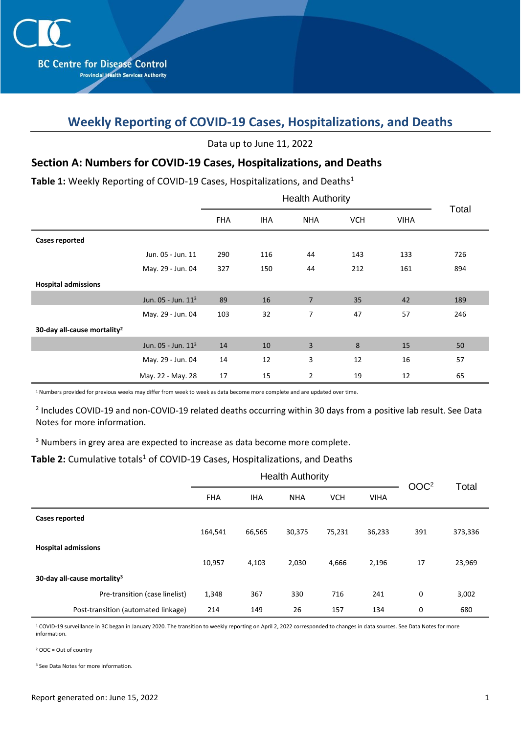# **Weekly Reporting of COVID-19 Cases, Hospitalizations, and Deaths**

| Data up to June 11, 2022 |  |  |
|--------------------------|--|--|
|--------------------------|--|--|

### **Section A: Numbers for COVID-19 Cases, Hospitalizations, and Deaths**

Table 1: Weekly Reporting of COVID-19 Cases, Hospitalizations, and Deaths<sup>1</sup>

|                                         |                                | <b>Health Authority</b> |            |                |            |             | Total |
|-----------------------------------------|--------------------------------|-------------------------|------------|----------------|------------|-------------|-------|
|                                         |                                | <b>FHA</b>              | <b>IHA</b> | <b>NHA</b>     | <b>VCH</b> | <b>VIHA</b> |       |
| <b>Cases reported</b>                   |                                |                         |            |                |            |             |       |
|                                         | Jun. 05 - Jun. 11              | 290                     | 116        | 44             | 143        | 133         | 726   |
|                                         | May. 29 - Jun. 04              | 327                     | 150        | 44             | 212        | 161         | 894   |
| <b>Hospital admissions</b>              |                                |                         |            |                |            |             |       |
|                                         | Jun. 05 - Jun. 11 <sup>3</sup> | 89                      | 16         | $\overline{7}$ | 35         | 42          | 189   |
|                                         | May. 29 - Jun. 04              | 103                     | 32         | 7              | 47         | 57          | 246   |
| 30-day all-cause mortality <sup>2</sup> |                                |                         |            |                |            |             |       |
|                                         | Jun. 05 - Jun. 11 <sup>3</sup> | 14                      | 10         | 3              | 8          | 15          | 50    |
|                                         | May. 29 - Jun. 04              | 14                      | 12         | 3              | 12         | 16          | 57    |
|                                         | May. 22 - May. 28              | 17                      | 15         | $\overline{2}$ | 19         | 12          | 65    |

<sup>1</sup> Numbers provided for previous weeks may differ from week to week as data become more complete and are updated over time.

<sup>2</sup> Includes COVID-19 and non-COVID-19 related deaths occurring within 30 days from a positive lab result. See Data Notes for more information.

<sup>3</sup> Numbers in grey area are expected to increase as data become more complete.

#### Table 2: Cumulative totals<sup>1</sup> of COVID-19 Cases, Hospitalizations, and Deaths

|                                         | <b>Health Authority</b> |            |            |            | OOC <sup>2</sup> |     |         |
|-----------------------------------------|-------------------------|------------|------------|------------|------------------|-----|---------|
|                                         | <b>FHA</b>              | <b>IHA</b> | <b>NHA</b> | <b>VCH</b> | <b>VIHA</b>      |     | Total   |
| <b>Cases reported</b>                   |                         |            |            |            |                  |     |         |
|                                         | 164,541                 | 66,565     | 30,375     | 75,231     | 36,233           | 391 | 373,336 |
| <b>Hospital admissions</b>              |                         |            |            |            |                  |     |         |
|                                         | 10,957                  | 4,103      | 2,030      | 4,666      | 2,196            | 17  | 23,969  |
| 30-day all-cause mortality <sup>3</sup> |                         |            |            |            |                  |     |         |
| Pre-transition (case linelist)          | 1,348                   | 367        | 330        | 716        | 241              | 0   | 3,002   |
| Post-transition (automated linkage)     | 214                     | 149        | 26         | 157        | 134              | 0   | 680     |

<sup>1</sup> COVID-19 surveillance in BC began in January 2020. The transition to weekly reporting on April 2, 2022 corresponded to changes in data sources. See Data Notes for more information.

<sup>2</sup> OOC = Out of country

<sup>3</sup> See Data Notes for more information.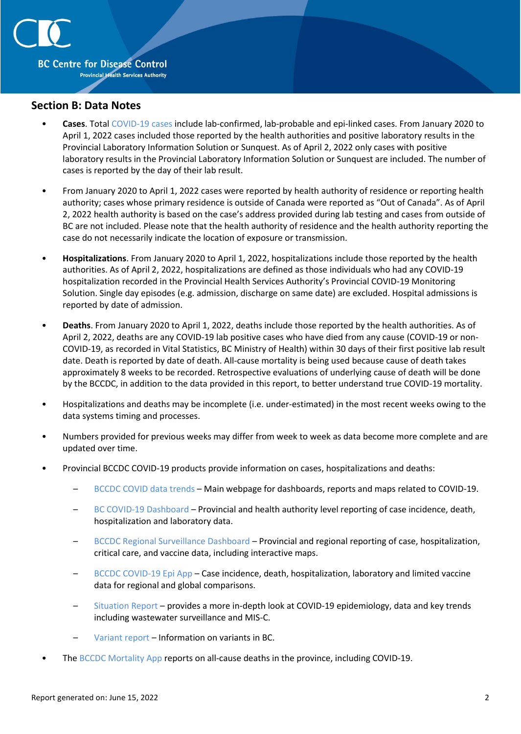

#### **Section B: Data Notes**

- **Cases**. Total [COVID-19 cases](http://www.bccdc.ca/health-professionals/clinical-resources/case-definitions/covid-19-(novel-coronavirus)) include lab-confirmed, lab-probable and epi-linked cases. From January 2020 to April 1, 2022 cases included those reported by the health authorities and positive laboratory results in the Provincial Laboratory Information Solution or Sunquest. As of April 2, 2022 only cases with positive laboratory results in the Provincial Laboratory Information Solution or Sunquest are included. The number of cases is reported by the day of their lab result.
- From January 2020 to April 1, 2022 cases were reported by health authority of residence or reporting health authority; cases whose primary residence is outside of Canada were reported as "Out of Canada". As of April 2, 2022 health authority is based on the case's address provided during lab testing and cases from outside of BC are not included. Please note that the health authority of residence and the health authority reporting the case do not necessarily indicate the location of exposure or transmission.
- **Hospitalizations**. From January 2020 to April 1, 2022, hospitalizations include those reported by the health authorities. As of April 2, 2022, hospitalizations are defined as those individuals who had any COVID-19 hospitalization recorded in the Provincial Health Services Authority's Provincial COVID-19 Monitoring Solution. Single day episodes (e.g. admission, discharge on same date) are excluded. Hospital admissions is reported by date of admission.
- **Deaths**. From January 2020 to April 1, 2022, deaths include those reported by the health authorities. As of April 2, 2022, deaths are any COVID-19 lab positive cases who have died from any cause (COVID-19 or non-COVID-19, as recorded in Vital Statistics, BC Ministry of Health) within 30 days of their first positive lab result date. Death is reported by date of death. All-cause mortality is being used because cause of death takes approximately 8 weeks to be recorded. Retrospective evaluations of underlying cause of death will be done by the BCCDC, in addition to the data provided in this report, to better understand true COVID-19 mortality.
- Hospitalizations and deaths may be incomplete (i.e. under-estimated) in the most recent weeks owing to the data systems timing and processes.
- Numbers provided for previous weeks may differ from week to week as data become more complete and are updated over time.
- Provincial BCCDC COVID-19 products provide information on cases, hospitalizations and deaths:
	- [BCCDC COVID data trends](http://www.bccdc.ca/health-info/diseases-conditions/covid-19/data-trends) Main webpage for dashboards, reports and maps related to COVID-19.
	- [BC COVID-19 Dashboard](https://experience.arcgis.com/experience/a6f23959a8b14bfa989e3cda29297ded) Provincial and health authority level reporting of case incidence, death, hospitalization and laboratory data.
	- [BCCDC Regional Surveillance Dashboard](http://www.bccdc.ca/health-professionals/data-reports/covid-19-surveillance-dashboard) Provincial and regional reporting of case, hospitalization, critical care, and vaccine data, including interactive maps.
	- [BCCDC COVID-19 Epi App](https://bccdc.shinyapps.io/covid19_global_epi_app/) Case incidence, death, hospitalization, laboratory and limited vaccine data for regional and global comparisons.
	- [Situation Report](http://www.bccdc.ca/health-info/diseases-conditions/covid-19/data#Situationreport/) provides a more in-depth look at COVID-19 epidemiology, data and key trends including wastewater surveillance and MIS-C.
	- [Variant report](http://www.bccdc.ca/health-info/diseases-conditions/covid-19/data#variants) Information on variants in BC.
- The [BCCDC Mortality App](https://bccdc.shinyapps.io/Mortality_Context_ShinyApp/) reports on all-cause deaths in the province, including COVID-19.